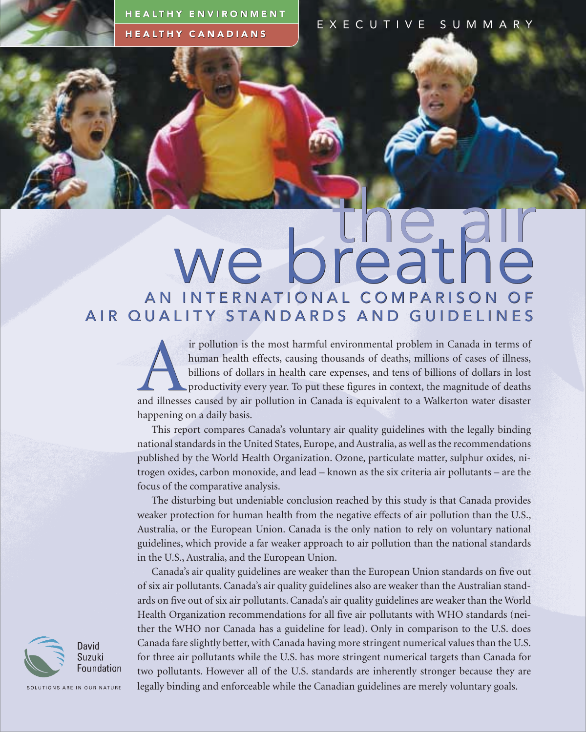HEALTHY ENVIRONMENT HEALTHY CANADIANS

EXECUTIVE SUMMARY

## the aır AN INTERNATIONAL COMPARISON OF we breathe AIR QUALITY STANDARDS AND GUIDELINES the

ir pollution is the most harmful environmental problem in Canada in terms of human health effects, causing thousands of deaths, millions of cases of illness, billions of dollars in health care expenses, and tens of billion human health effects, causing thousands of deaths, millions of cases of illness, billions of dollars in health care expenses, and tens of billions of dollars in lost productivity every year. To put these figures in context, the magnitude of deaths happening on a daily basis.

This report compares Canada's voluntary air quality guidelines with the legally binding national standards in the United States, Europe, and Australia, as well as the recommendations published by the World Health Organization. Ozone, particulate matter, sulphur oxides, nitrogen oxides, carbon monoxide, and lead – known as the six criteria air pollutants – are the focus of the comparative analysis.

The disturbing but undeniable conclusion reached by this study is that Canada provides weaker protection for human health from the negative effects of air pollution than the U.S., Australia, or the European Union. Canada is the only nation to rely on voluntary national guidelines, which provide a far weaker approach to air pollution than the national standards in the U.S., Australia, and the European Union.

Canada's air quality guidelines are weaker than the European Union standards on five out of six air pollutants. Canada's air quality guidelines also are weaker than the Australian standards on five out of six air pollutants. Canada's air quality guidelines are weaker than the World Health Organization recommendations for all five air pollutants with WHO standards (neither the WHO nor Canada has a guideline for lead). Only in comparison to the U.S. does Canada fare slightly better, with Canada having more stringent numerical values than the U.S. for three air pollutants while the U.S. has more stringent numerical targets than Canada for two pollutants. However all of the U.S. standards are inherently stronger because they are legally binding and enforceable while the Canadian guidelines are merely voluntary goals.



SOLUTIONS ARE IN OUR NATURE